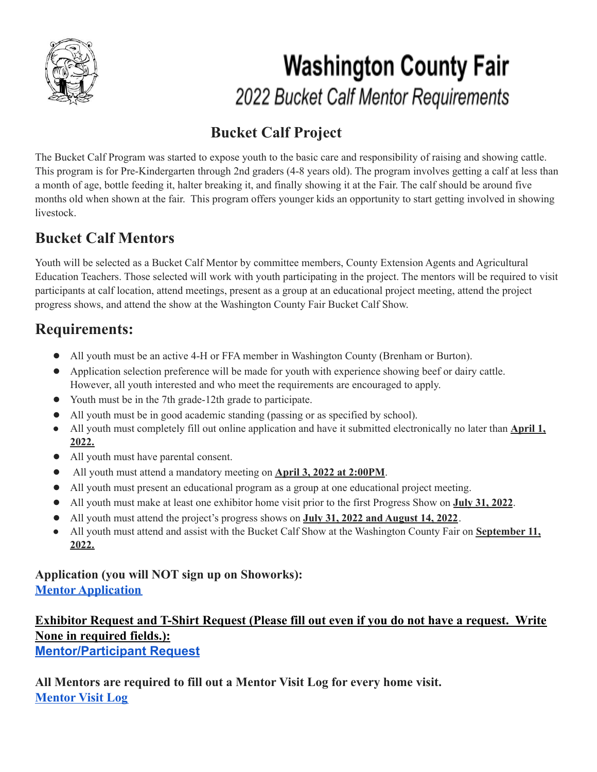

## **Washington County Fair** 2022 Bucket Calf Mentor Requirements

## **Bucket Calf Project**

The Bucket Calf Program was started to expose youth to the basic care and responsibility of raising and showing cattle. This program is for Pre-Kindergarten through 2nd graders (4-8 years old). The program involves getting a calf at less than a month of age, bottle feeding it, halter breaking it, and finally showing it at the Fair. The calf should be around five months old when shown at the fair. This program offers younger kids an opportunity to start getting involved in showing livestock.

### **Bucket Calf Mentors**

Youth will be selected as a Bucket Calf Mentor by committee members, County Extension Agents and Agricultural Education Teachers. Those selected will work with youth participating in the project. The mentors will be required to visit participants at calf location, attend meetings, present as a group at an educational project meeting, attend the project progress shows, and attend the show at the Washington County Fair Bucket Calf Show.

#### **Requirements:**

- **●** All youth must be an active 4-H or FFA member in Washington County (Brenham or Burton).
- **●** Application selection preference will be made for youth with experience showing beef or dairy cattle. However, all youth interested and who meet the requirements are encouraged to apply.
- **●** Youth must be in the 7th grade-12th grade to participate.
- All youth must be in good academic standing (passing or as specified by school).
- All youth must completely fill out online application and have it submitted electronically no later than **April 1, 2022.**
- **●** All youth must have parental consent.
- **●** All youth must attend a mandatory meeting on **April 3, 2022 at 2:00PM**.
- **●** All youth must present an educational program as a group at one educational project meeting.
- **●** All youth must make at least one exhibitor home visit prior to the first Progress Show on **July 31, 2022**.
- **●** All youth must attend the project's progress shows on **July 31, 2022 and August 14, 2022**.
- All youth must attend and assist with the Bucket Calf Show at the Washington County Fair on **September 11, 2022.**

#### **Application (you will NOT sign up on Showorks): Mentor [Application](https://forms.gle/Y8cqYoL5CBFziJAV8)**

#### **Exhibitor Request and T-Shirt Request (Please fill out even if you do not have a request. Write None in required fields.): [Mentor/Participant](https://forms.gle/BB75Dq8iZFQ51fct7) Request**

**All Mentors are required to fill out a Mentor Visit Log for every home visit. [Mentor](https://forms.gle/z6gGFVS3s3c3Ago16) Visit Log**